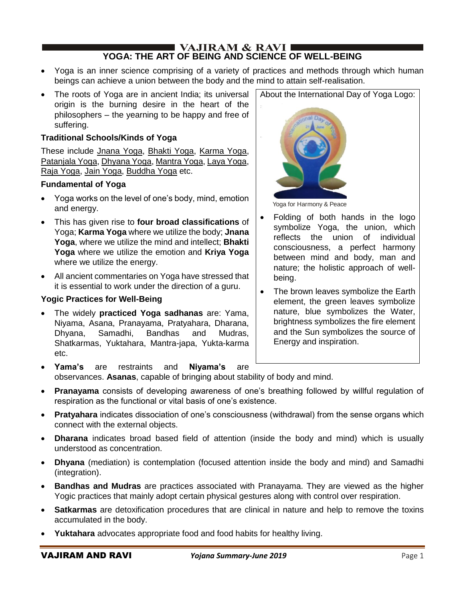#### **I** VAJIRAM & RAVI **E YOGA: THE ART OF BEING AND SCIENCE OF WELL-BEING**

- Yoga is an inner science comprising of a variety of practices and methods through which human beings can achieve a union between the body and the mind to attain self-realisation.
- The roots of Yoga are in ancient India; its universal origin is the burning desire in the heart of the philosophers – the yearning to be happy and free of suffering.

### **Traditional Schools/Kinds of Yoga**

These include Jnana Yoga, Bhakti Yoga, Karma Yoga, Patanjala Yoga, Dhyana Yoga, Mantra Yoga, Laya Yoga, Raja Yoga, Jain Yoga, Buddha Yoga etc.

### **Fundamental of Yoga**

- Yoga works on the level of one's body, mind, emotion and energy.
- This has given rise to **four broad classifications** of Yoga; **Karma Yoga** where we utilize the body; **Jnana Yoga**, where we utilize the mind and intellect; **Bhakti Yoga** where we utilize the emotion and **Kriya Yoga** where we utilize the energy.
- All ancient commentaries on Yoga have stressed that it is essential to work under the direction of a guru.

### **Yogic Practices for Well-Being**

• The widely **practiced Yoga sadhanas** are: Yama, Niyama, Asana, Pranayama, Pratyahara, Dharana, Dhyana, Samadhi, Bandhas and Mudras, Shatkarmas, Yuktahara, Mantra-japa, Yukta-karma etc.





Yoga for Harmony & Peace

- Folding of both hands in the logo symbolize Yoga, the union, which reflects the union of individual consciousness, a perfect harmony between mind and body, man and nature; the holistic approach of wellbeing.
- The brown leaves symbolize the Earth element, the green leaves symbolize nature, blue symbolizes the Water, brightness symbolizes the fire element and the Sun symbolizes the source of Energy and inspiration.
- **Yama's** are restraints and **Niyama's** are observances. **Asanas**, capable of bringing about stability of body and mind.
- **Pranayama** consists of developing awareness of one's breathing followed by willful regulation of respiration as the functional or vital basis of one's existence.
- **Pratyahara** indicates dissociation of one's consciousness (withdrawal) from the sense organs which connect with the external objects.
- **Dharana** indicates broad based field of attention (inside the body and mind) which is usually understood as concentration.
- **Dhyana** (mediation) is contemplation (focused attention inside the body and mind) and Samadhi (integration).
- **Bandhas and Mudras** are practices associated with Pranayama. They are viewed as the higher Yogic practices that mainly adopt certain physical gestures along with control over respiration.
- **Satkarmas** are detoxification procedures that are clinical in nature and help to remove the toxins accumulated in the body.
- **Yuktahara** advocates appropriate food and food habits for healthy living.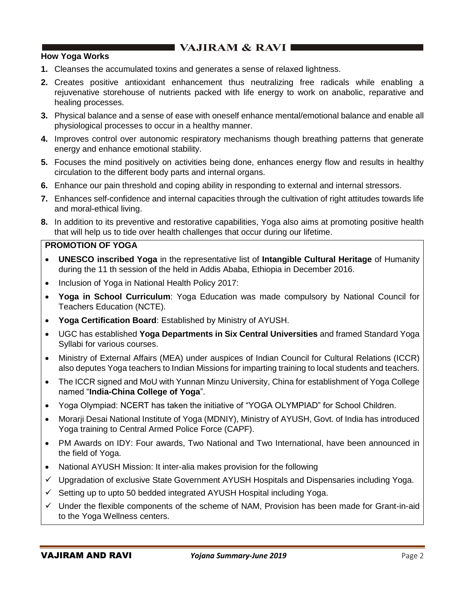### **How Yoga Works**

- **1.** Cleanses the accumulated toxins and generates a sense of relaxed lightness.
- **2.** Creates positive antioxidant enhancement thus neutralizing free radicals while enabling a rejuvenative storehouse of nutrients packed with life energy to work on anabolic, reparative and healing processes.
- **3.** Physical balance and a sense of ease with oneself enhance mental/emotional balance and enable all physiological processes to occur in a healthy manner.
- **4.** Improves control over autonomic respiratory mechanisms though breathing patterns that generate energy and enhance emotional stability.
- **5.** Focuses the mind positively on activities being done, enhances energy flow and results in healthy circulation to the different body parts and internal organs.
- **6.** Enhance our pain threshold and coping ability in responding to external and internal stressors.
- **7.** Enhances self-confidence and internal capacities through the cultivation of right attitudes towards life and moral-ethical living.
- **8.** In addition to its preventive and restorative capabilities, Yoga also aims at promoting positive health that will help us to tide over health challenges that occur during our lifetime.

### **PROMOTION OF YOGA**

- **UNESCO inscribed Yoga** in the representative list of **Intangible Cultural Heritage** of Humanity during the 11 th session of the held in Addis Ababa, Ethiopia in December 2016.
- Inclusion of Yoga in National Health Policy 2017:
- **Yoga in School Curriculum**: Yoga Education was made compulsory by National Council for Teachers Education (NCTE).
- **Yoga Certification Board**: Established by Ministry of AYUSH.
- UGC has established **Yoga Departments in Six Central Universities** and framed Standard Yoga Syllabi for various courses.
- Ministry of External Affairs (MEA) under auspices of Indian Council for Cultural Relations (ICCR) also deputes Yoga teachers to Indian Missions for imparting training to local students and teachers.
- The ICCR signed and MoU with Yunnan Minzu University, China for establishment of Yoga College named "**India-China College of Yoga**".
- Yoga Olympiad: NCERT has taken the initiative of "YOGA OLYMPIAD" for School Children.
- Morarji Desai National Institute of Yoga (MDNIY), Ministry of AYUSH, Govt. of India has introduced Yoga training to Central Armed Police Force (CAPF).
- PM Awards on IDY: Four awards, Two National and Two International, have been announced in the field of Yoga.
- National AYUSH Mission: It inter-alia makes provision for the following
- ✓ Upgradation of exclusive State Government AYUSH Hospitals and Dispensaries including Yoga.
- ✓ Setting up to upto 50 bedded integrated AYUSH Hospital including Yoga.
- $\checkmark$  Under the flexible components of the scheme of NAM, Provision has been made for Grant-in-aid to the Yoga Wellness centers.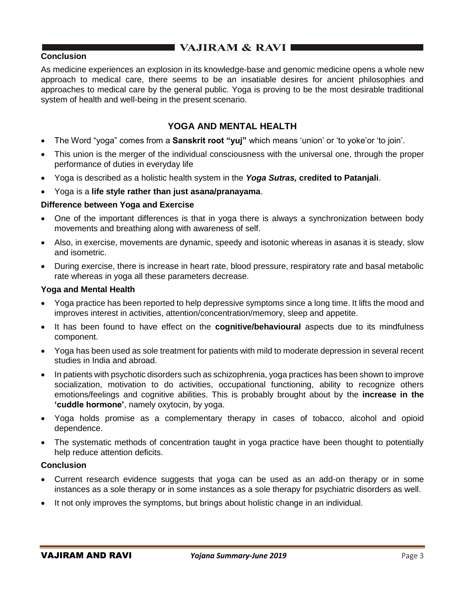### **Conclusion**

As medicine experiences an explosion in its knowledge-base and genomic medicine opens a whole new approach to medical care, there seems to be an insatiable desires for ancient philosophies and approaches to medical care by the general public. Yoga is proving to be the most desirable traditional system of health and well-being in the present scenario.

## **YOGA AND MENTAL HEALTH**

- The Word "yoga" comes from a **Sanskrit root "yuj"** which means 'union' or 'to yoke'or 'to join'.
- This union is the merger of the individual consciousness with the universal one, through the proper performance of duties in everyday life
- Yoga is described as a holistic health system in the *Yoga Sutras,* **credited to Patanjali**.
- Yoga is a **life style rather than just asana/pranayama**.

#### **Difference between Yoga and Exercise**

- One of the important differences is that in yoga there is always a synchronization between body movements and breathing along with awareness of self.
- Also, in exercise, movements are dynamic, speedy and isotonic whereas in asanas it is steady, slow and isometric.
- During exercise, there is increase in heart rate, blood pressure, respiratory rate and basal metabolic rate whereas in yoga all these parameters decrease.

#### **Yoga and Mental Health**

- Yoga practice has been reported to help depressive symptoms since a long time. It lifts the mood and improves interest in activities, attention/concentration/memory, sleep and appetite.
- It has been found to have effect on the **cognitive/behavioural** aspects due to its mindfulness component.
- Yoga has been used as sole treatment for patients with mild to moderate depression in several recent studies in India and abroad.
- In patients with psychotic disorders such as schizophrenia, yoga practices has been shown to improve socialization, motivation to do activities, occupational functioning, ability to recognize others emotions/feelings and cognitive abilities. This is probably brought about by the **increase in the 'cuddle hormone'**, namely oxytocin, by yoga.
- Yoga holds promise as a complementary therapy in cases of tobacco, alcohol and opioid dependence.
- The systematic methods of concentration taught in yoga practice have been thought to potentially help reduce attention deficits.

#### **Conclusion**

- Current research evidence suggests that yoga can be used as an add-on therapy or in some instances as a sole therapy or in some instances as a sole therapy for psychiatric disorders as well.
- It not only improves the symptoms, but brings about holistic change in an individual.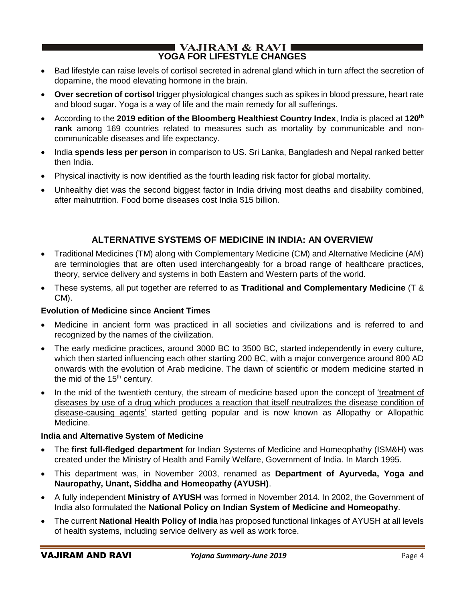### I VAJIRAM  $\&$  RAVI $\blacksquare$ **YOGA FOR LIFESTYLE CHANGES**

- Bad lifestyle can raise levels of cortisol secreted in adrenal gland which in turn affect the secretion of dopamine, the mood elevating hormone in the brain.
- **Over secretion of cortisol** trigger physiological changes such as spikes in blood pressure, heart rate and blood sugar. Yoga is a way of life and the main remedy for all sufferings.
- According to the **2019 edition of the Bloomberg Healthiest Country Index**, India is placed at **120th rank** among 169 countries related to measures such as mortality by communicable and noncommunicable diseases and life expectancy.
- India **spends less per person** in comparison to US. Sri Lanka, Bangladesh and Nepal ranked better then India.
- Physical inactivity is now identified as the fourth leading risk factor for global mortality.
- Unhealthy diet was the second biggest factor in India driving most deaths and disability combined, after malnutrition. Food borne diseases cost India \$15 billion.

# **ALTERNATIVE SYSTEMS OF MEDICINE IN INDIA: AN OVERVIEW**

- Traditional Medicines (TM) along with Complementary Medicine (CM) and Alternative Medicine (AM) are terminologies that are often used interchangeably for a broad range of healthcare practices, theory, service delivery and systems in both Eastern and Western parts of the world.
- These systems, all put together are referred to as **Traditional and Complementary Medicine** (T & CM).

## **Evolution of Medicine since Ancient Times**

- Medicine in ancient form was practiced in all societies and civilizations and is referred to and recognized by the names of the civilization.
- The early medicine practices, around 3000 BC to 3500 BC, started independently in every culture, which then started influencing each other starting 200 BC, with a major convergence around 800 AD onwards with the evolution of Arab medicine. The dawn of scientific or modern medicine started in the mid of the 15<sup>th</sup> century.
- In the mid of the twentieth century, the stream of medicine based upon the concept of 'treatment of diseases by use of a drug which produces a reaction that itself neutralizes the disease condition of disease-causing agents' started getting popular and is now known as Allopathy or Allopathic Medicine.

## **India and Alternative System of Medicine**

- The **first full-fledged department** for Indian Systems of Medicine and Homeophathy (ISM&H) was created under the Ministry of Health and Family Welfare, Government of India. In March 1995.
- This department was, in November 2003, renamed as **Department of Ayurveda, Yoga and Nauropathy, Unant, Siddha and Homeopathy (AYUSH)**.
- A fully independent **Ministry of AYUSH** was formed in November 2014. In 2002, the Government of India also formulated the **National Policy on Indian System of Medicine and Homeopathy**.
- The current **National Health Policy of India** has proposed functional linkages of AYUSH at all levels of health systems, including service delivery as well as work force.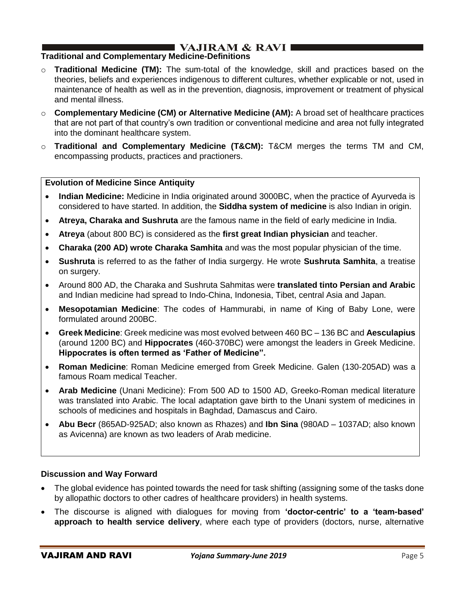# I VAJIRAM & RAVI ∎

### **Traditional and Complementary Medicine-Definitions**

- o **Traditional Medicine (TM):** The sum-total of the knowledge, skill and practices based on the theories, beliefs and experiences indigenous to different cultures, whether explicable or not, used in maintenance of health as well as in the prevention, diagnosis, improvement or treatment of physical and mental illness.
- o **Complementary Medicine (CM) or Alternative Medicine (AM):** A broad set of healthcare practices that are not part of that country's own tradition or conventional medicine and area not fully integrated into the dominant healthcare system.
- o **Traditional and Complementary Medicine (T&CM):** T&CM merges the terms TM and CM, encompassing products, practices and practioners.

#### **Evolution of Medicine Since Antiquity**

- **Indian Medicine:** Medicine in India originated around 3000BC, when the practice of Ayurveda is considered to have started. In addition, the **Siddha system of medicine** is also Indian in origin.
- **Atreya, Charaka and Sushruta** are the famous name in the field of early medicine in India.
- **Atreya** (about 800 BC) is considered as the **first great Indian physician** and teacher.
- **Charaka (200 AD) wrote Charaka Samhita** and was the most popular physician of the time.
- **Sushruta** is referred to as the father of India surgergy. He wrote **Sushruta Samhita**, a treatise on surgery.
- Around 800 AD, the Charaka and Sushruta Sahmitas were **translated tinto Persian and Arabic** and Indian medicine had spread to Indo-China, Indonesia, Tibet, central Asia and Japan.
- **Mesopotamian Medicine**: The codes of Hammurabi, in name of King of Baby Lone, were formulated around 200BC.
- **Greek Medicine**: Greek medicine was most evolved between 460 BC 136 BC and **Aesculapius**  (around 1200 BC) and **Hippocrates** (460-370BC) were amongst the leaders in Greek Medicine. **Hippocrates is often termed as 'Father of Medicine".**
- **Roman Medicine**: Roman Medicine emerged from Greek Medicine. Galen (130-205AD) was a famous Roam medical Teacher.
- **Arab Medicine** (Unani Medicine): From 500 AD to 1500 AD, Greeko-Roman medical literature was translated into Arabic. The local adaptation gave birth to the Unani system of medicines in schools of medicines and hospitals in Baghdad, Damascus and Cairo.
- **Abu Becr** (865AD-925AD; also known as Rhazes) and **Ibn Sina** (980AD 1037AD; also known as Avicenna) are known as two leaders of Arab medicine.

#### **Discussion and Way Forward**

- The global evidence has pointed towards the need for task shifting (assigning some of the tasks done by allopathic doctors to other cadres of healthcare providers) in health systems.
- The discourse is aligned with dialogues for moving from **'doctor-centric' to a 'team-based' approach to health service delivery**, where each type of providers (doctors, nurse, alternative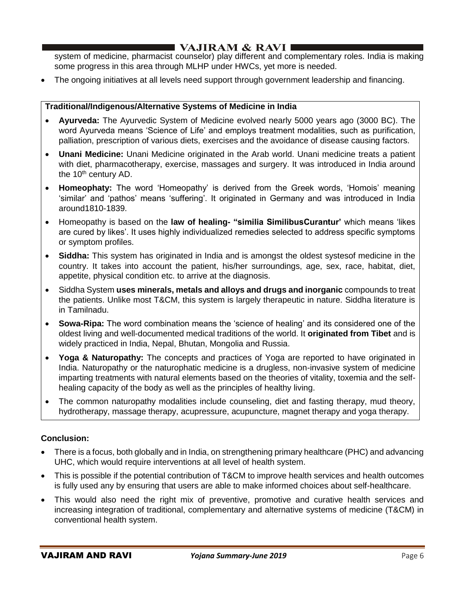## I VAJIRAM & RAVI ∎

system of medicine, pharmacist counselor) play different and complementary roles. India is making some progress in this area through MLHP under HWCs, yet more is needed.

• The ongoing initiatives at all levels need support through government leadership and financing.

### **Traditional/Indigenous/Alternative Systems of Medicine in India**

- **Ayurveda:** The Ayurvedic System of Medicine evolved nearly 5000 years ago (3000 BC). The word Ayurveda means 'Science of Life' and employs treatment modalities, such as purification, palliation, prescription of various diets, exercises and the avoidance of disease causing factors.
- **Unani Medicine:** Unani Medicine originated in the Arab world. Unani medicine treats a patient with diet, pharmacotherapy, exercise, massages and surgery. It was introduced in India around the  $10<sup>th</sup>$  century AD.
- **Homeophaty:** The word 'Homeopathy' is derived from the Greek words, 'Homois' meaning 'similar' and 'pathos' means 'suffering'. It originated in Germany and was introduced in India around1810-1839.
- Homeopathy is based on the **law of healing- "similia SimilibusCurantur'** which means 'likes are cured by likes'. It uses highly individualized remedies selected to address specific symptoms or symptom profiles.
- **Siddha:** This system has originated in India and is amongst the oldest systesof medicine in the country. It takes into account the patient, his/her surroundings, age, sex, race, habitat, diet, appetite, physical condition etc. to arrive at the diagnosis.
- Siddha System **uses minerals, metals and alloys and drugs and inorganic** compounds to treat the patients. Unlike most T&CM, this system is largely therapeutic in nature. Siddha literature is in Tamilnadu.
- **Sowa-Ripa:** The word combination means the 'science of healing' and its considered one of the oldest living and well-documented medical traditions of the world. It **originated from Tibet** and is widely practiced in India, Nepal, Bhutan, Mongolia and Russia.
- **Yoga & Naturopathy:** The concepts and practices of Yoga are reported to have originated in India. Naturopathy or the naturophatic medicine is a drugless, non-invasive system of medicine imparting treatments with natural elements based on the theories of vitality, toxemia and the selfhealing capacity of the body as well as the principles of healthy living.
- The common naturopathy modalities include counseling, diet and fasting therapy, mud theory, hydrotherapy, massage therapy, acupressure, acupuncture, magnet therapy and yoga therapy.

## **Conclusion:**

- There is a focus, both globally and in India, on strengthening primary healthcare (PHC) and advancing UHC, which would require interventions at all level of health system.
- This is possible if the potential contribution of T&CM to improve health services and health outcomes is fully used any by ensuring that users are able to make informed choices about self-healthcare.
- This would also need the right mix of preventive, promotive and curative health services and increasing integration of traditional, complementary and alternative systems of medicine (T&CM) in conventional health system.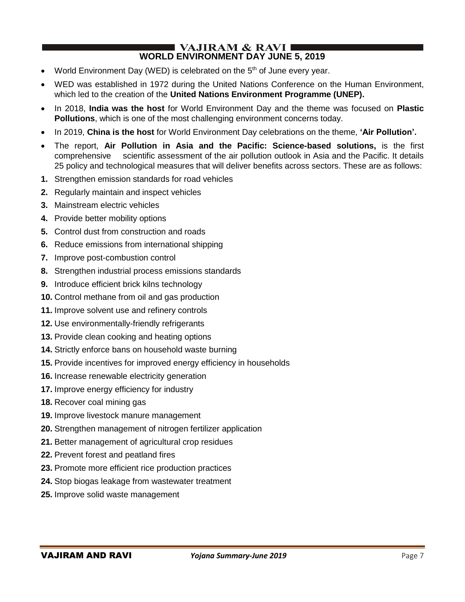#### I VAJIRAM & RAVI ∎ **WORLD ENVIRONMENT DAY JUNE 5, 2019**

- World Environment Day (WED) is celebrated on the 5<sup>th</sup> of June every year.
- WED was established in 1972 during the United Nations Conference on the Human Environment, which led to the creation of the **United Nations Environment Programme (UNEP).**
- In 2018, **India was the host** for World Environment Day and the theme was focused on **Plastic Pollutions**, which is one of the most challenging environment concerns today.
- In 2019, **China is the host** for World Environment Day celebrations on the theme, **'Air Pollution'.**
- The report, **Air Pollution in Asia and the Pacific: Science-based solutions,** is the first comprehensive scientific assessment of the air pollution outlook in Asia and the Pacific. It details 25 policy and technological measures that will deliver benefits across sectors. These are as follows:
- **1.** Strengthen emission standards for road vehicles
- **2.** Regularly maintain and inspect vehicles
- **3.** Mainstream electric vehicles
- **4.** Provide better mobility options
- **5.** Control dust from construction and roads
- **6.** Reduce emissions from international shipping
- **7.** Improve post-combustion control
- **8.** Strengthen industrial process emissions standards
- **9.** Introduce efficient brick kilns technology
- **10.** Control methane from oil and gas production
- **11.** Improve solvent use and refinery controls
- **12.** Use environmentally-friendly refrigerants
- **13.** Provide clean cooking and heating options
- **14.** Strictly enforce bans on household waste burning
- **15.** Provide incentives for improved energy efficiency in households
- **16.** Increase renewable electricity generation
- **17.** Improve energy efficiency for industry
- **18.** Recover coal mining gas
- **19.** Improve livestock manure management
- **20.** Strengthen management of nitrogen fertilizer application
- **21.** Better management of agricultural crop residues
- **22.** Prevent forest and peatland fires
- **23.** Promote more efficient rice production practices
- **24.** Stop biogas leakage from wastewater treatment
- **25.** Improve solid waste management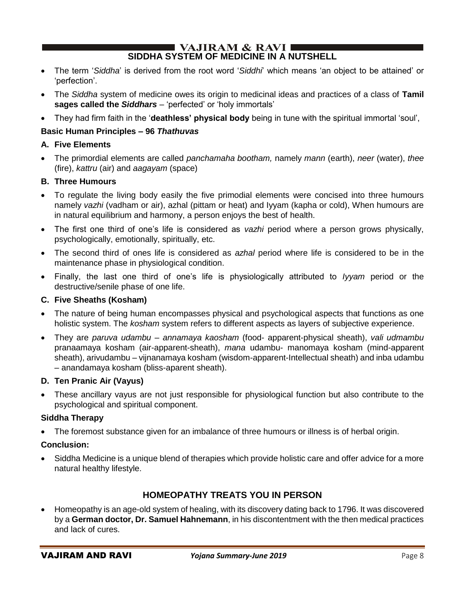#### $\blacksquare$  VAJIRAM & RAVI $\blacksquare$ **SIDDHA SYSTEM OF MEDICINE IN A NUTSHELL**

- The term '*Siddha*' is derived from the root word '*Siddhi*' which means 'an object to be attained' or 'perfection'.
- The *Siddha* system of medicine owes its origin to medicinal ideas and practices of a class of **Tamil sages called the** *Siddhars* – 'perfected' or 'holy immortals'
- They had firm faith in the '**deathless' physical body** being in tune with the spiritual immortal 'soul',

## **Basic Human Principles – 96** *Thathuvas*

### **A. Five Elements**

• The primordial elements are called *panchamaha bootham,* namely *mann* (earth), *neer* (water), *thee* (fire), *kattru* (air) and *aagayam* (space)

### **B. Three Humours**

- To regulate the living body easily the five primodial elements were concised into three humours namely *vazhi* (vadham or air), azhal (pittam or heat) and Iyyam (kapha or cold), When humours are in natural equilibrium and harmony, a person enjoys the best of health.
- The first one third of one's life is considered as *vazhi* period where a person grows physically, psychologically, emotionally, spiritually, etc.
- The second third of ones life is considered as *azhal* period where life is considered to be in the maintenance phase in physiological condition.
- Finally, the last one third of one's life is physiologically attributed to *Iyyam* period or the destructive/senile phase of one life.

### **C. Five Sheaths (Kosham)**

- The nature of being human encompasses physical and psychological aspects that functions as one holistic system. The *kosham* system refers to different aspects as layers of subjective experience.
- They are *paruva udambu – annamaya kaosham* (food- apparent-physical sheath), *vali udmambu*  pranaamaya kosham (air-apparent-sheath), *mana* udambu- manomaya kosham (mind-apparent sheath), arivudambu – vijnanamaya kosham (wisdom-apparent-Intellectual sheath) and inba udambu – anandamaya kosham (bliss-aparent sheath).

### **D. Ten Pranic Air (Vayus)**

• These ancillary vayus are not just responsible for physiological function but also contribute to the psychological and spiritual component.

### **Siddha Therapy**

• The foremost substance given for an imbalance of three humours or illness is of herbal origin.

## **Conclusion:**

• Siddha Medicine is a unique blend of therapies which provide holistic care and offer advice for a more natural healthy lifestyle.

## **HOMEOPATHY TREATS YOU IN PERSON**

• Homeopathy is an age-old system of healing, with its discovery dating back to 1796. It was discovered by a **German doctor, Dr. Samuel Hahnemann**, in his discontentment with the then medical practices and lack of cures.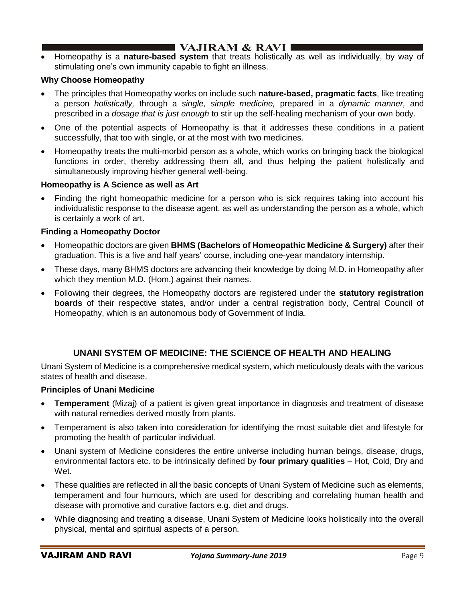• Homeopathy is a **nature-based system** that treats holistically as well as individually, by way of stimulating one's own immunity capable to fight an illness.

### **Why Choose Homeopathy**

- The principles that Homeopathy works on include such **nature-based, pragmatic facts**, like treating a person *holistically,* through a *single, simple medicine,* prepared in a *dynamic manner,* and prescribed in a *dosage that is just enough* to stir up the self-healing mechanism of your own body.
- One of the potential aspects of Homeopathy is that it addresses these conditions in a patient successfully, that too with single, or at the most with two medicines.
- Homeopathy treats the multi-morbid person as a whole, which works on bringing back the biological functions in order, thereby addressing them all, and thus helping the patient holistically and simultaneously improving his/her general well-being.

### **Homeopathy is A Science as well as Art**

• Finding the right homeopathic medicine for a person who is sick requires taking into account his individualistic response to the disease agent, as well as understanding the person as a whole, which is certainly a work of art.

### **Finding a Homeopathy Doctor**

- Homeopathic doctors are given **BHMS (Bachelors of Homeopathic Medicine & Surgery)** after their graduation. This is a five and half years' course, including one-year mandatory internship.
- These days, many BHMS doctors are advancing their knowledge by doing M.D. in Homeopathy after which they mention M.D. (Hom.) against their names.
- Following their degrees, the Homeopathy doctors are registered under the **statutory registration boards** of their respective states, and/or under a central registration body, Central Council of Homeopathy, which is an autonomous body of Government of India.

## **UNANI SYSTEM OF MEDICINE: THE SCIENCE OF HEALTH AND HEALING**

Unani System of Medicine is a comprehensive medical system, which meticulously deals with the various states of health and disease.

### **Principles of Unani Medicine**

- **Temperament** (Mizaj) of a patient is given great importance in diagnosis and treatment of disease with natural remedies derived mostly from plants.
- Temperament is also taken into consideration for identifying the most suitable diet and lifestyle for promoting the health of particular individual.
- Unani system of Medicine consideres the entire universe including human beings, disease, drugs, environmental factors etc. to be intrinsically defined by **four primary qualities** – Hot, Cold, Dry and Wet.
- These qualities are reflected in all the basic concepts of Unani System of Medicine such as elements, temperament and four humours, which are used for describing and correlating human health and disease with promotive and curative factors e.g. diet and drugs.
- While diagnosing and treating a disease, Unani System of Medicine looks holistically into the overall physical, mental and spiritual aspects of a person.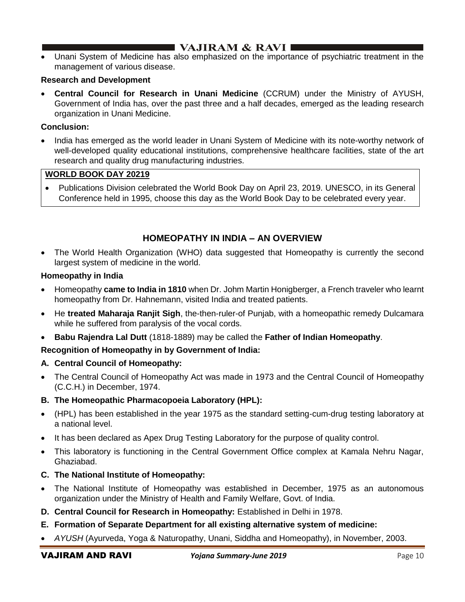# **I** VAJIRAM & RAVI  $\blacksquare$

• Unani System of Medicine has also emphasized on the importance of psychiatric treatment in the management of various disease.

### **Research and Development**

• **Central Council for Research in Unani Medicine** (CCRUM) under the Ministry of AYUSH, Government of India has, over the past three and a half decades, emerged as the leading research organization in Unani Medicine.

### **Conclusion:**

• India has emerged as the world leader in Unani System of Medicine with its note-worthy network of well-developed quality educational institutions, comprehensive healthcare facilities, state of the art research and quality drug manufacturing industries.

## **WORLD BOOK DAY 20219**

• Publications Division celebrated the World Book Day on April 23, 2019. UNESCO, in its General Conference held in 1995, choose this day as the World Book Day to be celebrated every year.

## **HOMEOPATHY IN INDIA – AN OVERVIEW**

• The World Health Organization (WHO) data suggested that Homeopathy is currently the second largest system of medicine in the world.

### **Homeopathy in India**

- Homeopathy **came to India in 1810** when Dr. Johm Martin Honigberger, a French traveler who learnt homeopathy from Dr. Hahnemann, visited India and treated patients.
- He **treated Maharaja Ranjit Sigh**, the-then-ruler-of Punjab, with a homeopathic remedy Dulcamara while he suffered from paralysis of the vocal cords.
- **Babu Rajendra Lal Dutt** (1818-1889) may be called the **Father of Indian Homeopathy**.

### **Recognition of Homeopathy in by Government of India:**

### **A. Central Council of Homeopathy:**

• The Central Council of Homeopathy Act was made in 1973 and the Central Council of Homeopathy (C.C.H.) in December, 1974.

### **B. The Homeopathic Pharmacopoeia Laboratory (HPL):**

- (HPL) has been established in the year 1975 as the standard setting-cum-drug testing laboratory at a national level.
- It has been declared as Apex Drug Testing Laboratory for the purpose of quality control.
- This laboratory is functioning in the Central Government Office complex at Kamala Nehru Nagar, Ghaziabad.

## **C. The National Institute of Homeopathy:**

- The National Institute of Homeopathy was established in December, 1975 as an autonomous organization under the Ministry of Health and Family Welfare, Govt. of India.
- **D. Central Council for Research in Homeopathy:** Established in Delhi in 1978.
- **E. Formation of Separate Department for all existing alternative system of medicine:**
- *AYUSH* (Ayurveda, Yoga & Naturopathy, Unani, Siddha and Homeopathy), in November, 2003.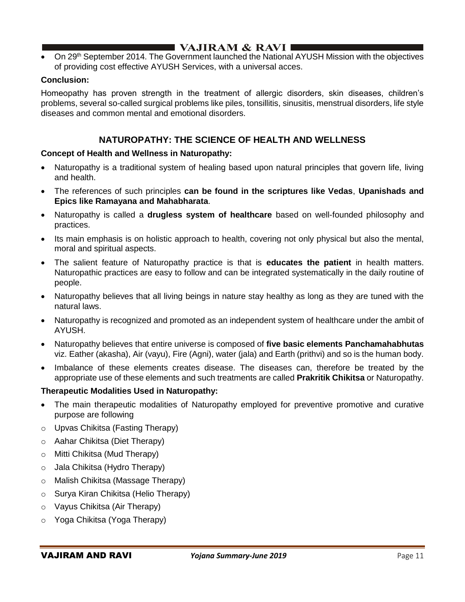On 29<sup>th</sup> September 2014. The Government launched the National AYUSH Mission with the objectives of providing cost effective AYUSH Services, with a universal acces.

### **Conclusion:**

Homeopathy has proven strength in the treatment of allergic disorders, skin diseases, children's problems, several so-called surgical problems like piles, tonsillitis, sinusitis, menstrual disorders, life style diseases and common mental and emotional disorders.

## **NATUROPATHY: THE SCIENCE OF HEALTH AND WELLNESS**

### **Concept of Health and Wellness in Naturopathy:**

- Naturopathy is a traditional system of healing based upon natural principles that govern life, living and health.
- The references of such principles **can be found in the scriptures like Vedas**, **Upanishads and Epics like Ramayana and Mahabharata**.
- Naturopathy is called a **drugless system of healthcare** based on well-founded philosophy and practices.
- Its main emphasis is on holistic approach to health, covering not only physical but also the mental, moral and spiritual aspects.
- The salient feature of Naturopathy practice is that is **educates the patient** in health matters. Naturopathic practices are easy to follow and can be integrated systematically in the daily routine of people.
- Naturopathy believes that all living beings in nature stay healthy as long as they are tuned with the natural laws.
- Naturopathy is recognized and promoted as an independent system of healthcare under the ambit of AYUSH.
- Naturopathy believes that entire universe is composed of **five basic elements Panchamahabhutas**  viz. Eather (akasha), Air (vayu), Fire (Agni), water (jala) and Earth (prithvi) and so is the human body.
- Imbalance of these elements creates disease. The diseases can, therefore be treated by the appropriate use of these elements and such treatments are called **Prakritik Chikitsa** or Naturopathy.

### **Therapeutic Modalities Used in Naturopathy:**

- The main therapeutic modalities of Naturopathy employed for preventive promotive and curative purpose are following
- o Upvas Chikitsa (Fasting Therapy)
- o Aahar Chikitsa (Diet Therapy)
- o Mitti Chikitsa (Mud Therapy)
- o Jala Chikitsa (Hydro Therapy)
- o Malish Chikitsa (Massage Therapy)
- o Surya Kiran Chikitsa (Helio Therapy)
- o Vayus Chikitsa (Air Therapy)
- o Yoga Chikitsa (Yoga Therapy)